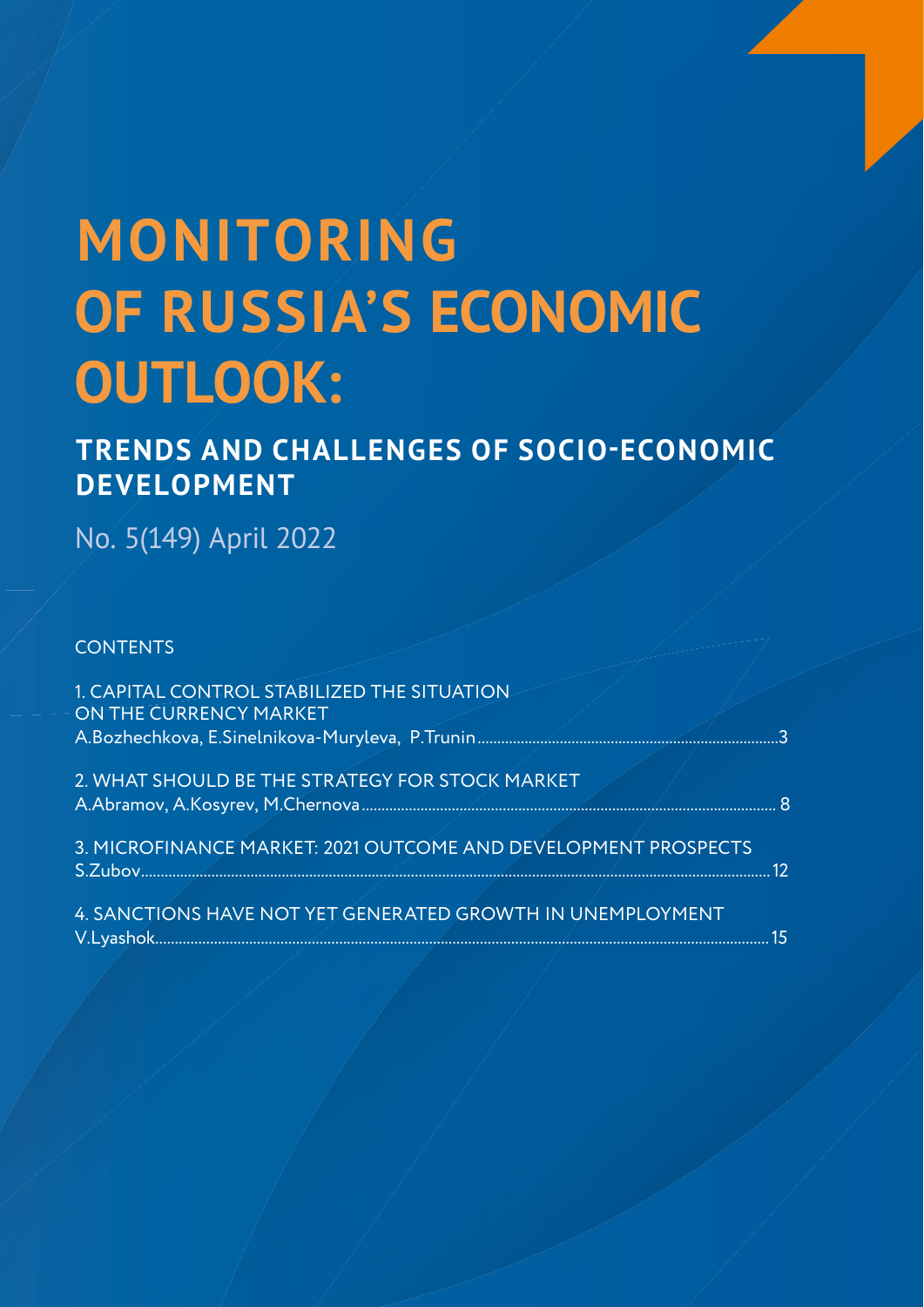# **MONITORING OF RUSSIA'S ECONOMIC OUTLOOK:**

## **TRENDS AND CHALLENGES OF SOCIO-ECONOMIC DEVELOPMENT**

No. 5(149) April 2022

**CONTENTS** 

| 1. CAPITAL CONTROL STABILIZED THE SITUATION<br>ON THE CURRENCY MARKET |       |
|-----------------------------------------------------------------------|-------|
|                                                                       |       |
| 2. WHAT SHOULD BE THE STRATEGY FOR STOCK MARKET                       |       |
| 3. MICROFINANCE MARKET: 2021 OUTCOME AND DEVELOPMENT PROSPECTS        | $-12$ |
| 4. SANCTIONS HAVE NOT YET GENERATED GROWTH IN UNEMPLOYMENT            |       |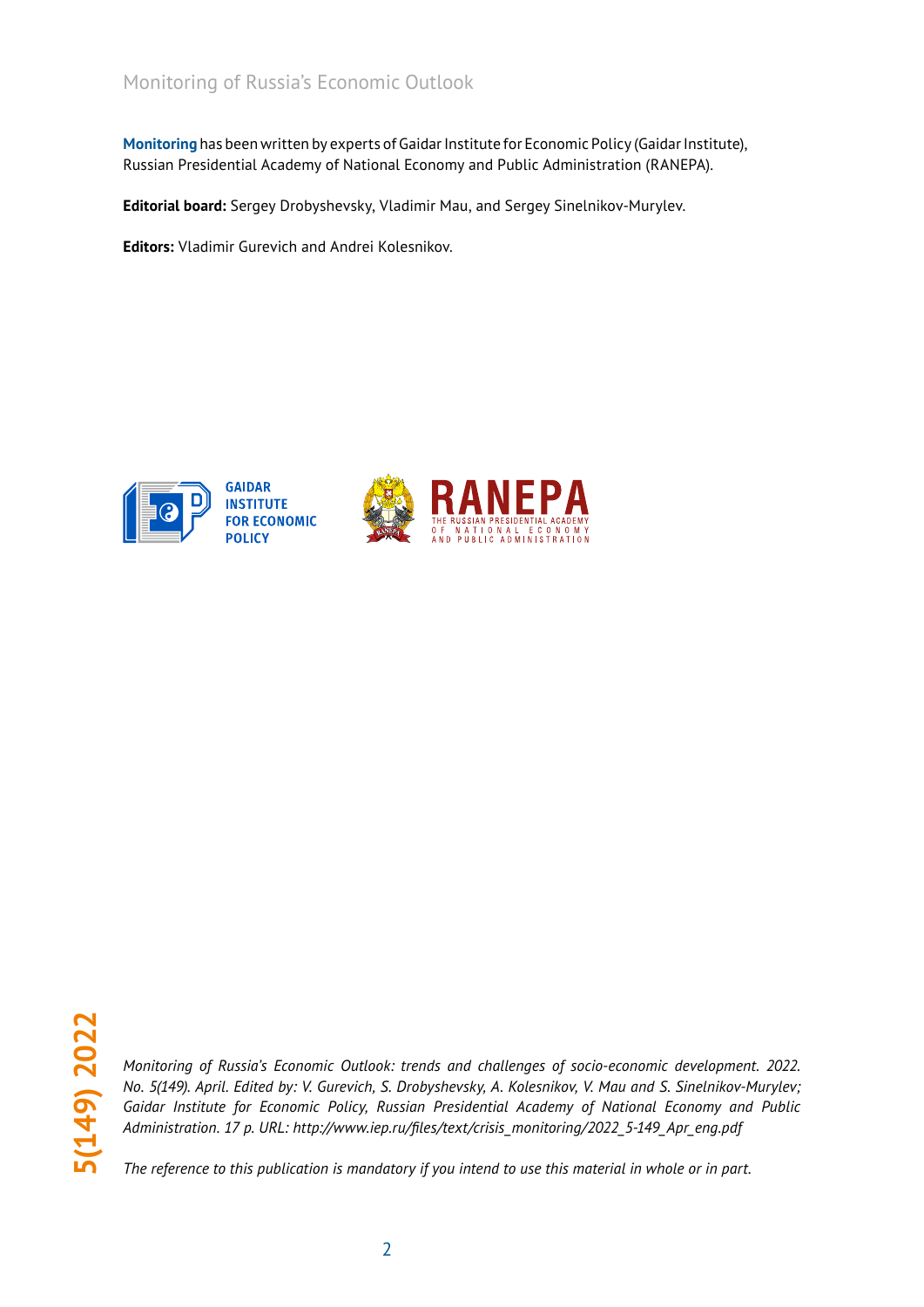**Monitoring** has been written by experts of Gaidar Institute for Economic Policy (Gaidar Institute), Russian Presidential Academy of National Economy and Public Administration (RANEPA).

**Editorial board:** Sergey Drobyshevsky, Vladimir Mau, and Sergey Sinelnikov-Murylev.

**Editors:** Vladimir Gurevich and Andrei Kolesnikov.



*Monitoring of Russia's Economic Outlook: trends and challenges of socio-economic development. 2022. No. 5(149). April. Edited by: V. Gurevich, S. Drobyshevsky, A. Kolesnikov, V. Mau and S. Sinelnikov-Murylev; Gaidar Institute for Economic Policy, Russian Presidential Academy of National Economy and Public Administration. 17 p. URL: http://www.iep.ru/files/text/crisis\_monitoring/2022\_5-149\_Apr\_eng.pdf*

*The reference to this publication is mandatory if you intend to use this material in whole or in part.*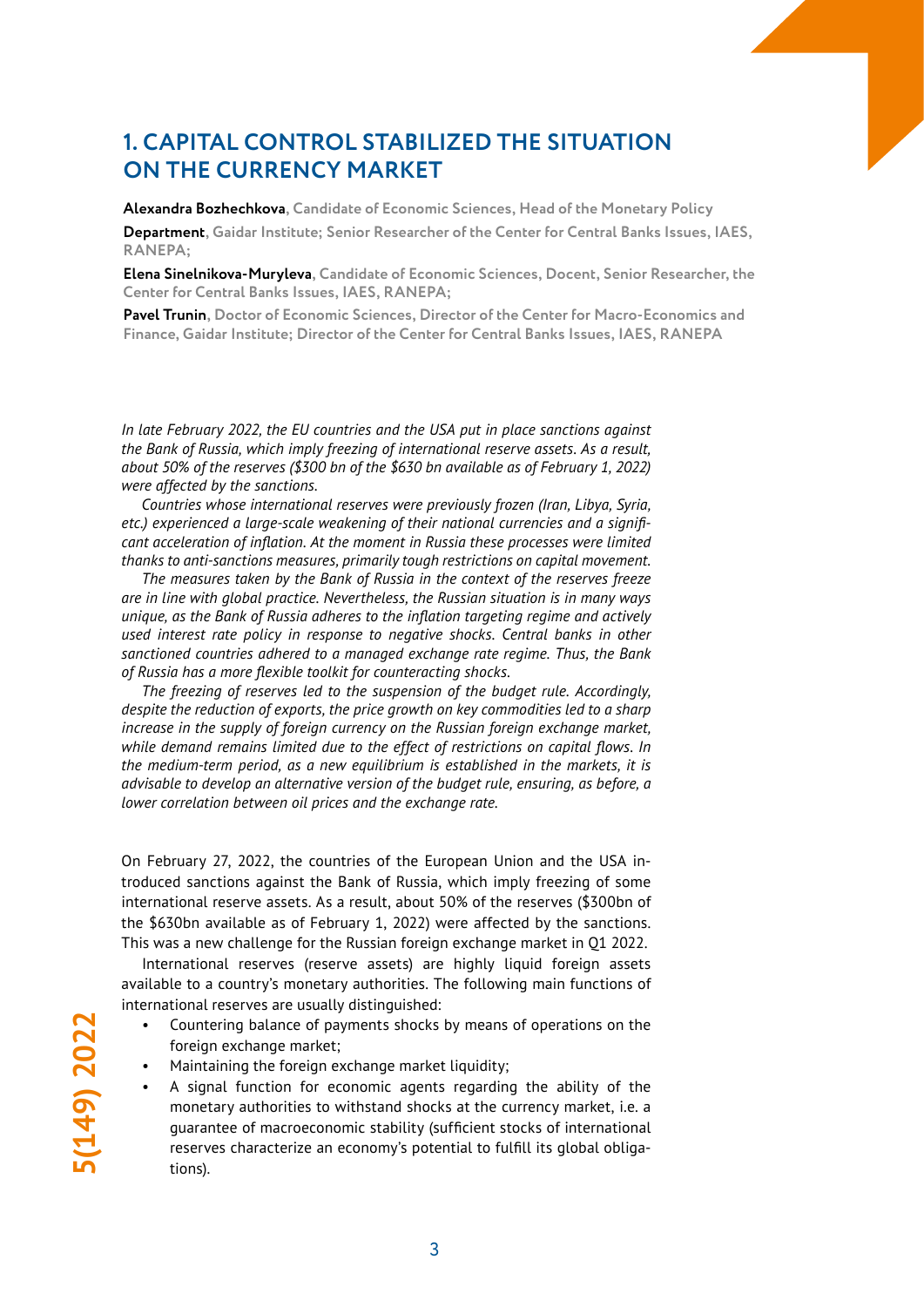## **1. CAPITAL CONTROL STABILIZED THE SITUATION ON THE CURRENCY MARKET**

**Alexandra Bozhechkova, Candidate of Economic Sciences, Head of the Monetary Policy**

**Department, Gaidar Institute; Senior Researcher of the Center for Central Banks Issues, IAES, RANEPA;** 

**Elena Sinelnikova-Muryleva, Candidate of Economic Sciences, Docent, Senior Researcher, the Center for Central Banks Issues, IAES, RANEPA;** 

**Pavel Trunin, Doctor of Economic Sciences, Director of the Center for Macro-Economics and Finance, Gaidar Institute; Director of the Center for Central Banks Issues, IAES, RANEPA**

*In late February 2022, the EU countries and the USA put in place sanctions against the Bank of Russia, which imply freezing of international reserve assets. As a result, about 50% of the reserves (\$300 bn of the \$630 bn available as of February 1, 2022) were affected by the sanctions.*

*Countries whose international reserves were previously frozen (Iran, Libya, Syria, etc.) experienced a large-scale weakening of their national currencies and a significant acceleration of inflation. At the moment in Russia these processes were limited thanks to anti-sanctions measures, primarily tough restrictions on capital movement.*

*The measures taken by the Bank of Russia in the context of the reserves freeze are in line with global practice. Nevertheless, the Russian situation is in many ways unique, as the Bank of Russia adheres to the inflation targeting regime and actively used interest rate policy in response to negative shocks. Central banks in other sanctioned countries adhered to a managed exchange rate regime. Thus, the Bank of Russia has a more flexible toolkit for counteracting shocks.*

*The freezing of reserves led to the suspension of the budget rule. Accordingly, despite the reduction of exports, the price growth on key commodities led to a sharp increase in the supply of foreign currency on the Russian foreign exchange market, while demand remains limited due to the effect of restrictions on capital flows. In the medium-term period, as a new equilibrium is established in the markets, it is advisable to develop an alternative version of the budget rule, ensuring, as before, a lower correlation between oil prices and the exchange rate.*

On February 27, 2022, the countries of the European Union and the USA introduced sanctions against the Bank of Russia, which imply freezing of some international reserve assets. As a result, about 50% of the reserves (\$300bn of the \$630bn available as of February 1, 2022) were affected by the sanctions. This was a new challenge for the Russian foreign exchange market in Q1 2022.

International reserves (reserve assets) are highly liquid foreign assets available to a country's monetary authorities. The following main functions of international reserves are usually distinguished:

- Countering balance of payments shocks by means of operations on the foreign exchange market;
- Maintaining the foreign exchange market liquidity;
- A signal function for economic agents regarding the ability of the monetary authorities to withstand shocks at the currency market, i.e. a guarantee of macroeconomic stability (sufficient stocks of international reserves characterize an economy's potential to fulfill its global obligations).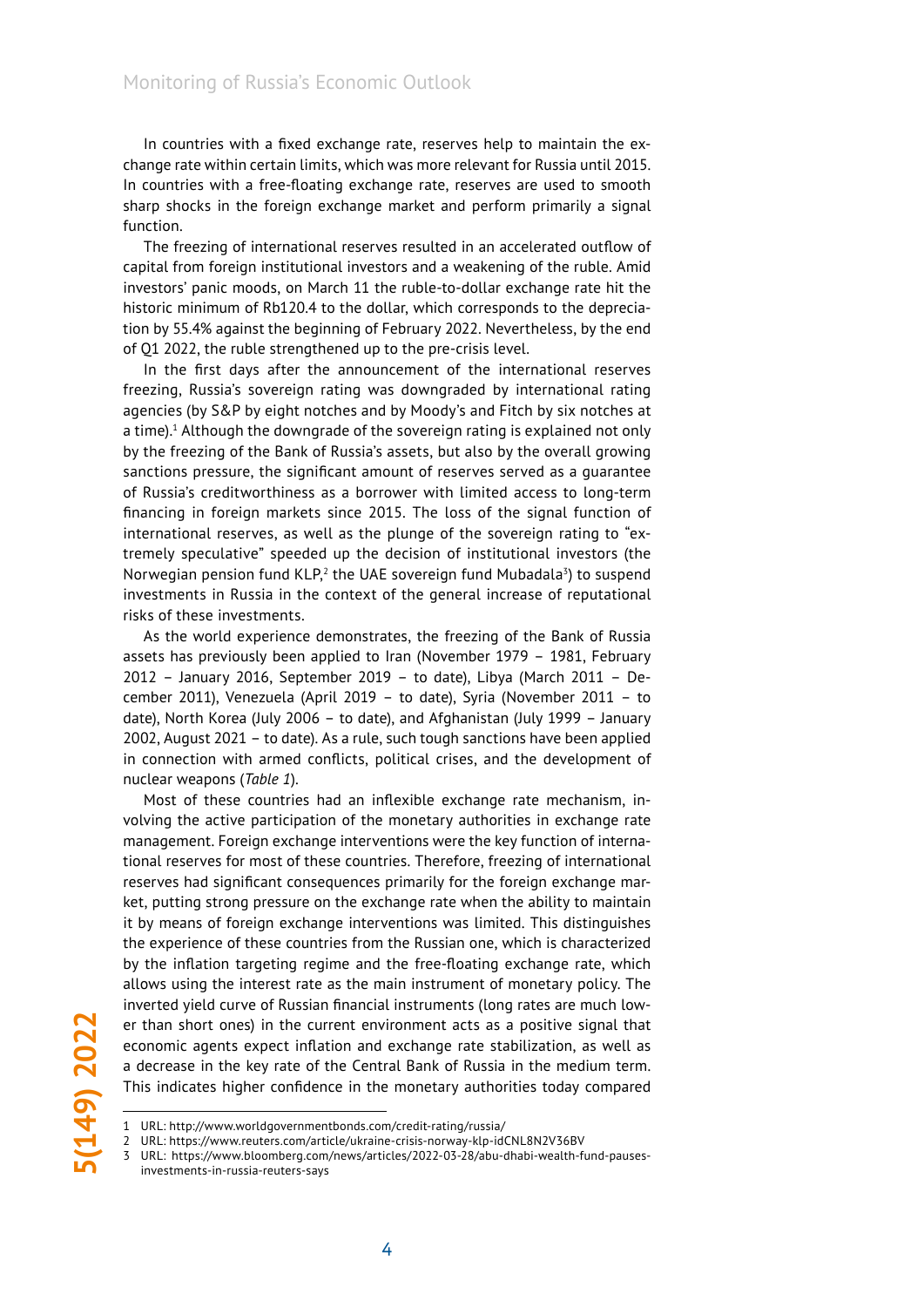In countries with a fixed exchange rate, reserves help to maintain the exchange rate within certain limits, which was more relevant for Russia until 2015. In countries with a free-floating exchange rate, reserves are used to smooth sharp shocks in the foreign exchange market and perform primarily a signal function.

The freezing of international reserves resulted in an accelerated outflow of capital from foreign institutional investors and a weakening of the ruble. Amid investors' panic moods, on March 11 the ruble-to-dollar exchange rate hit the historic minimum of Rb120.4 to the dollar, which corresponds to the depreciation by 55.4% against the beginning of February 2022. Nevertheless, by the end of Q1 2022, the ruble strengthened up to the pre-crisis level.

In the first days after the announcement of the international reserves freezing, Russia's sovereign rating was downgraded by international rating agencies (by S&P by eight notches and by Moody's and Fitch by six notches at a time).<sup>1</sup> Although the downgrade of the sovereign rating is explained not only by the freezing of the Bank of Russia's assets, but also by the overall growing sanctions pressure, the significant amount of reserves served as a guarantee of Russia's creditworthiness as a borrower with limited access to long-term financing in foreign markets since 2015. The loss of the signal function of international reserves, as well as the plunge of the sovereign rating to "extremely speculative" speeded up the decision of institutional investors (the Norwegian pension fund KLP,<sup>2</sup> the UAE sovereign fund Mubadala<sup>3</sup>) to suspend investments in Russia in the context of the general increase of reputational risks of these investments.

As the world experience demonstrates, the freezing of the Bank of Russia assets has previously been applied to Iran (November 1979 – 1981, February 2012 – January 2016, September 2019 – to date), Libya (March 2011 – December 2011), Venezuela (April 2019 – to date), Syria (November 2011 – to date), North Korea (July 2006 – to date), and Afghanistan (July 1999 – January 2002, August 2021 – to date). As a rule, such tough sanctions have been applied in connection with armed conflicts, political crises, and the development of nuclear weapons (*Table 1*).

Most of these countries had an inflexible exchange rate mechanism, involving the active participation of the monetary authorities in exchange rate management. Foreign exchange interventions were the key function of international reserves for most of these countries. Therefore, freezing of international reserves had significant consequences primarily for the foreign exchange market, putting strong pressure on the exchange rate when the ability to maintain it by means of foreign exchange interventions was limited. This distinguishes the experience of these countries from the Russian one, which is characterized by the inflation targeting regime and the free-floating exchange rate, which allows using the interest rate as the main instrument of monetary policy. The inverted yield curve of Russian financial instruments (long rates are much lower than short ones) in the current environment acts as a positive signal that economic agents expect inflation and exchange rate stabilization, as well as a decrease in the key rate of the Central Bank of Russia in the medium term. This indicates higher confidence in the monetary authorities today compared

<sup>1</sup> URL: http://www.worldgovernmentbonds.com/credit-rating/russia/

<sup>2</sup> URL: https://www.reuters.com/article/ukraine-crisis-norway-klp-idCNL8N2V36BV

<sup>3</sup> URL: https://www.bloomberg.com/news/articles/2022-03-28/abu-dhabi-wealth-fund-pausesinvestments-in-russia-reuters-says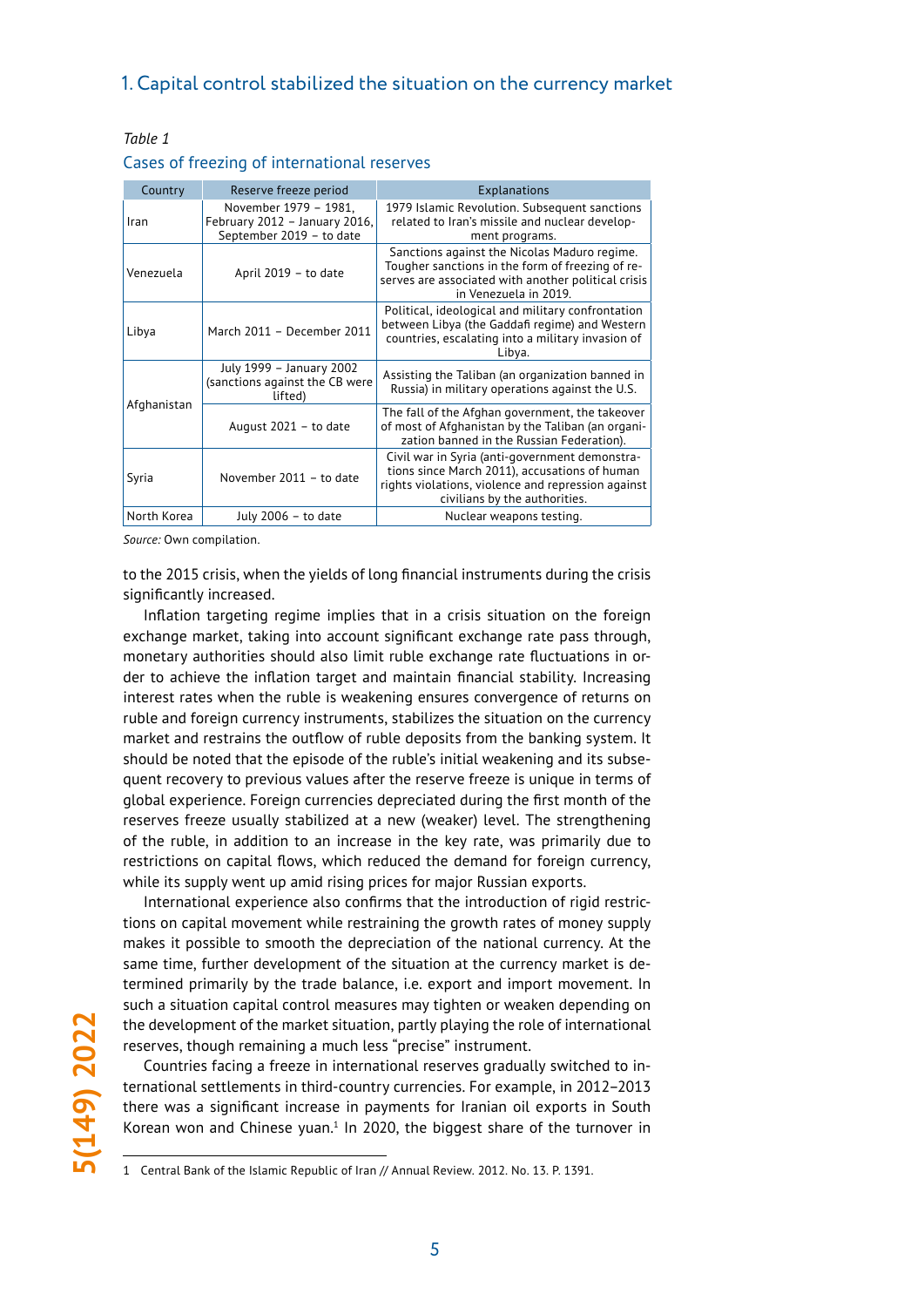## 1. Capital control stabilized the situation on the currency market

#### *Table 1*

#### Cases of freezing of international reserves

| Country     | Reserve freeze period                                                              | Explanations                                                                                                                                                                           |  |  |  |
|-------------|------------------------------------------------------------------------------------|----------------------------------------------------------------------------------------------------------------------------------------------------------------------------------------|--|--|--|
| Iran        | November 1979 - 1981,<br>February 2012 - January 2016,<br>September 2019 - to date | 1979 Islamic Revolution. Subsequent sanctions<br>related to Iran's missile and nuclear develop-<br>ment programs.                                                                      |  |  |  |
| Venezuela   | April 2019 - to date                                                               | Sanctions against the Nicolas Maduro regime.<br>Tougher sanctions in the form of freezing of re-<br>serves are associated with another political crisis<br>in Venezuela in 2019.       |  |  |  |
| Libya       | March 2011 - December 2011                                                         | Political, ideological and military confrontation<br>between Libya (the Gaddafi regime) and Western<br>countries, escalating into a military invasion of<br>Libya.                     |  |  |  |
| Afghanistan | July 1999 - January 2002<br>(sanctions against the CB were<br>lifted)              | Assisting the Taliban (an organization banned in<br>Russia) in military operations against the U.S.                                                                                    |  |  |  |
|             | August $2021 -$ to date                                                            | The fall of the Afghan government, the takeover<br>of most of Afghanistan by the Taliban (an organi-<br>zation banned in the Russian Federation).                                      |  |  |  |
| Syria       | November 2011 - to date                                                            | Civil war in Syria (anti-government demonstra-<br>tions since March 2011), accusations of human<br>rights violations, violence and repression against<br>civilians by the authorities. |  |  |  |
| North Korea | July $2006 - to date$                                                              | Nuclear weapons testing.                                                                                                                                                               |  |  |  |

*Source:* Own compilation.

to the 2015 crisis, when the yields of long financial instruments during the crisis significantly increased.

Inflation targeting regime implies that in a crisis situation on the foreign exchange market, taking into account significant exchange rate pass through, monetary authorities should also limit ruble exchange rate fluctuations in order to achieve the inflation target and maintain financial stability. Increasing interest rates when the ruble is weakening ensures convergence of returns on ruble and foreign currency instruments, stabilizes the situation on the currency market and restrains the outflow of ruble deposits from the banking system. It should be noted that the episode of the ruble's initial weakening and its subsequent recovery to previous values after the reserve freeze is unique in terms of global experience. Foreign currencies depreciated during the first month of the reserves freeze usually stabilized at a new (weaker) level. The strengthening of the ruble, in addition to an increase in the key rate, was primarily due to restrictions on capital flows, which reduced the demand for foreign currency, while its supply went up amid rising prices for major Russian exports.

International experience also confirms that the introduction of rigid restrictions on capital movement while restraining the growth rates of money supply makes it possible to smooth the depreciation of the national currency. At the same time, further development of the situation at the currency market is determined primarily by the trade balance, i.e. export and import movement. In such a situation capital control measures may tighten or weaken depending on the development of the market situation, partly playing the role of international reserves, though remaining a much less "precise" instrument.

Countries facing a freeze in international reserves gradually switched to international settlements in third-country currencies. For example, in 2012–2013 there was a significant increase in payments for Iranian oil exports in South Korean won and Chinese yuan. $<sup>1</sup>$  In 2020, the biggest share of the turnover in</sup>

<sup>1</sup> Central Bank of the Islamic Republic of Iran // Annual Review. 2012. No. 13. P. 1391.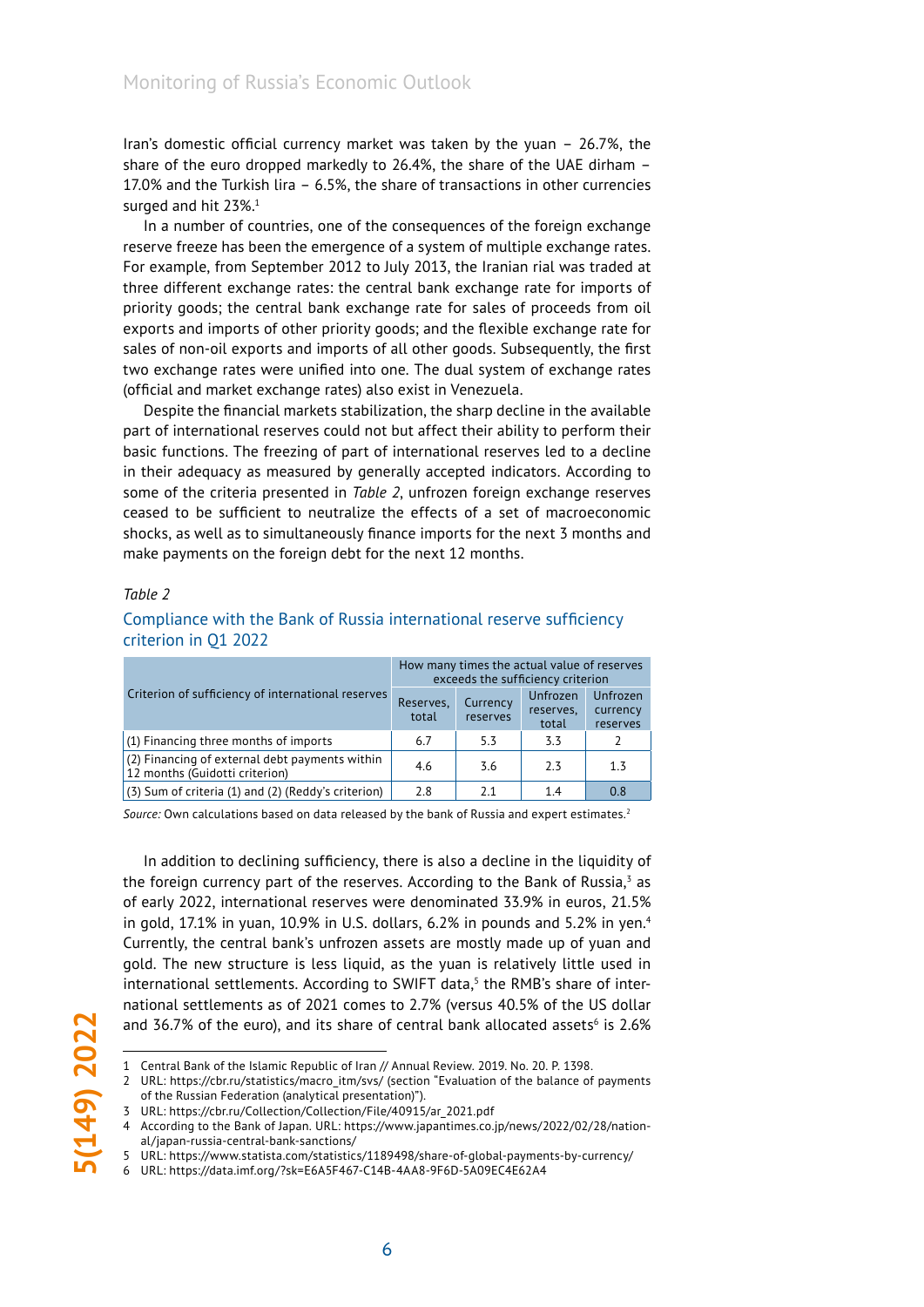Iran's domestic official currency market was taken by the yuan – 26.7%, the share of the euro dropped markedly to 26.4%, the share of the UAE dirham – 17.0% and the Turkish lira – 6.5%, the share of transactions in other currencies surged and hit 23%.<sup>1</sup>

In a number of countries, one of the consequences of the foreign exchange reserve freeze has been the emergence of a system of multiple exchange rates. For example, from September 2012 to July 2013, the Iranian rial was traded at three different exchange rates: the central bank exchange rate for imports of priority goods; the central bank exchange rate for sales of proceeds from oil exports and imports of other priority goods; and the flexible exchange rate for sales of non-oil exports and imports of all other goods. Subsequently, the first two exchange rates were unified into one. The dual system of exchange rates (official and market exchange rates) also exist in Venezuela.

Despite the financial markets stabilization, the sharp decline in the available part of international reserves could not but affect their ability to perform their basic functions. The freezing of part of international reserves led to a decline in their adequacy as measured by generally accepted indicators. According to some of the criteria presented in *Table 2*, unfrozen foreign exchange reserves ceased to be sufficient to neutralize the effects of a set of macroeconomic shocks, as well as to simultaneously finance imports for the next 3 months and make payments on the foreign debt for the next 12 months.

#### *Table 2*

Compliance with the Bank of Russia international reserve sufficiency criterion in Q1 2022

|                                                                                  | How many times the actual value of reserves<br>exceeds the sufficiency criterion |                      |                                |                                         |
|----------------------------------------------------------------------------------|----------------------------------------------------------------------------------|----------------------|--------------------------------|-----------------------------------------|
| Criterion of sufficiency of international reserves                               | Reserves,<br>total                                                               | Currency<br>reserves | Unfrozen<br>reserves,<br>total | <b>Unfrozen</b><br>currency<br>reserves |
| (1) Financing three months of imports                                            | 6.7                                                                              | 5.3                  | 3.3                            |                                         |
| (2) Financing of external debt payments within<br>12 months (Guidotti criterion) | 4.6                                                                              | 3.6                  | 2.3                            | 1.3                                     |
| $(3)$ Sum of criteria (1) and (2) (Reddy's criterion)                            | 2.8                                                                              | 2.1                  | 14                             | 0.8                                     |

*Source:* Own calculations based on data released by the bank of Russia and expert estimates.2

In addition to declining sufficiency, there is also a decline in the liquidity of the foreign currency part of the reserves. According to the Bank of Russia, $3$  as of early 2022, international reserves were denominated 33.9% in euros, 21.5% in gold,  $17.1\%$  in yuan,  $10.9\%$  in U.S. dollars, 6.2% in pounds and 5.2% in yen.<sup>4</sup> Currently, the central bank's unfrozen assets are mostly made up of yuan and gold. The new structure is less liquid, as the yuan is relatively little used in international settlements. According to SWIFT data, $<sup>5</sup>$  the RMB's share of inter-</sup> national settlements as of 2021 comes to 2.7% (versus 40.5% of the US dollar and 36.7% of the euro), and its share of central bank allocated assets<sup>6</sup> is 2.6%

3 URL: https://cbr.ru/Collection/Collection/File/40915/ar\_2021.pdf

<sup>1</sup> Central Bank of the Islamic Republic of Iran // Annual Review. 2019. No. 20. P. 1398.

<sup>2</sup> URL: https://cbr.ru/statistics/macro\_itm/svs/ (section "Evaluation of the balance of payments of the Russian Federation (analytical presentation)")

<sup>4</sup> According to the Bank of Japan. URL: https://www.japantimes.co.jp/news/2022/02/28/national/japan-russia-central-bank-sanctions/

<sup>5</sup> URL: https://www.statista.com/statistics/1189498/share-of-global-payments-by-currency/

<sup>6</sup> URL: https://data.imf.org/?sk=E6A5F467-C14B-4AA8-9F6D-5A09EC4E62A4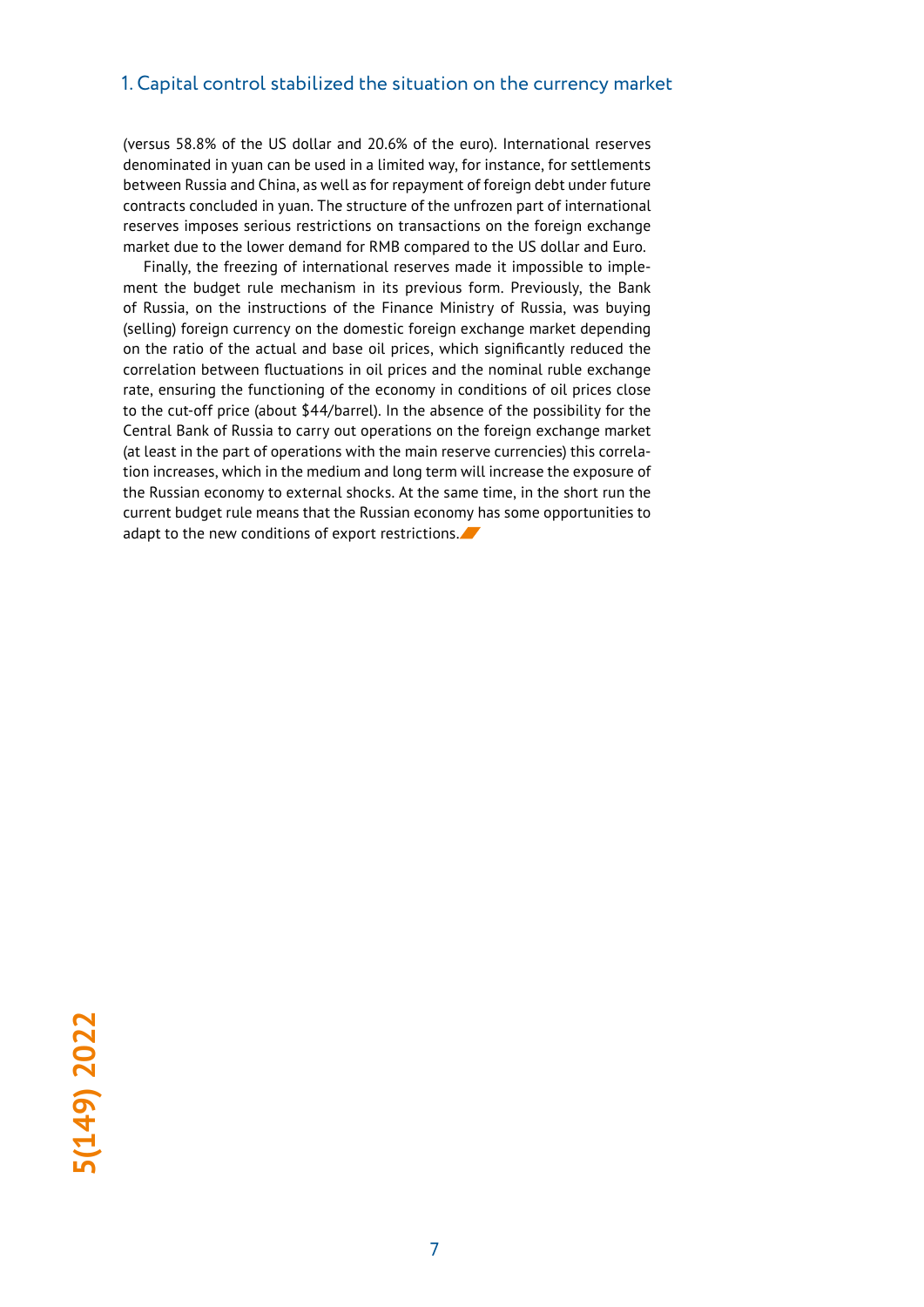### 1. Capital control stabilized the situation on the currency market

(versus 58.8% of the US dollar and 20.6% of the euro). International reserves denominated in yuan can be used in a limited way, for instance, for settlements between Russia and China, as well as for repayment of foreign debt under future contracts concluded in yuan. The structure of the unfrozen part of international reserves imposes serious restrictions on transactions on the foreign exchange market due to the lower demand for RMB compared to the US dollar and Euro.

Finally, the freezing of international reserves made it impossible to implement the budget rule mechanism in its previous form. Previously, the Bank of Russia, on the instructions of the Finance Ministry of Russia, was buying (selling) foreign currency on the domestic foreign exchange market depending on the ratio of the actual and base oil prices, which significantly reduced the correlation between fluctuations in oil prices and the nominal ruble exchange rate, ensuring the functioning of the economy in conditions of oil prices close to the cut-off price (about \$44/barrel). In the absence of the possibility for the Central Bank of Russia to carry out operations on the foreign exchange market (at least in the part of operations with the main reserve currencies) this correlation increases, which in the medium and long term will increase the exposure of the Russian economy to external shocks. At the same time, in the short run the current budget rule means that the Russian economy has some opportunities to adapt to the new conditions of export restrictions.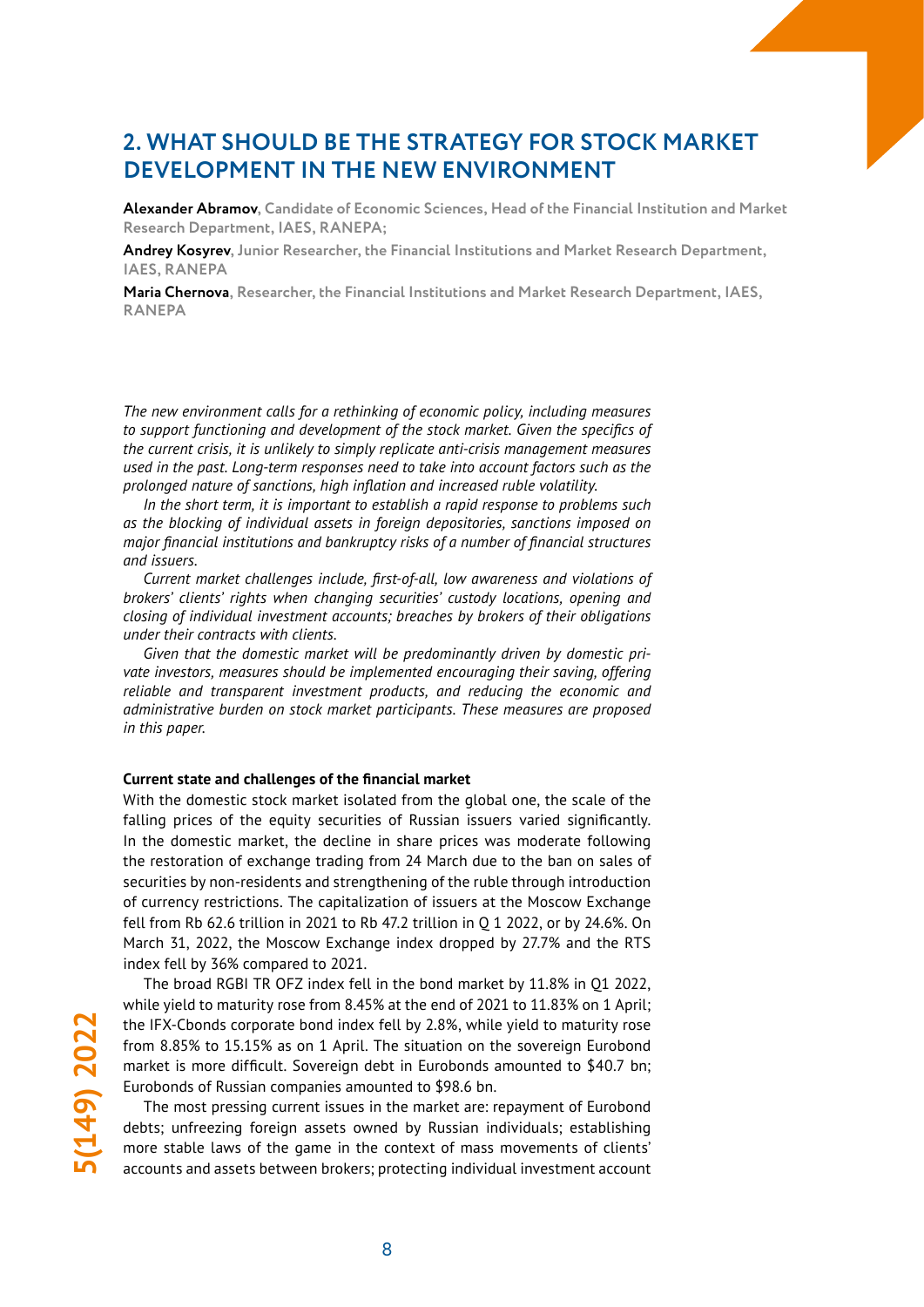## **2. WHAT SHOULD BE THE STRATEGY FOR STOCK MARKET DEVELOPMENT IN THE NEW ENVIRONMENT**

**Alexander Abramov, Candidate of Economic Sciences, Head of the Financial Institution and Market Research Department, IAES, RANEPA;** 

**Andrey Kosyrev, Junior Researcher, the Financial Institutions and Market Research Department, IAES, RANEPA** 

**Maria Chernova, Researcher, the Financial Institutions and Market Research Department, IAES, RANEPA** 

*The new environment calls for a rethinking of economic policy, including measures*  to support functioning and development of the stock market. Given the specifics of *the current crisis, it is unlikely to simply replicate anti-crisis management measures used in the past. Long-term responses need to take into account factors such as the prolonged nature of sanctions, high inflation and increased ruble volatility.* 

*In the short term, it is important to establish a rapid response to problems such as the blocking of individual assets in foreign depositories, sanctions imposed on major financial institutions and bankruptcy risks of a number of financial structures and issuers.*

*Current market challenges include, first-of-all, low awareness and violations of brokers' clients' rights when changing securities' custody locations, opening and closing of individual investment accounts; breaches by brokers of their obligations under their contracts with clients.*

*Given that the domestic market will be predominantly driven by domestic private investors, measures should be implemented encouraging their saving, offering reliable and transparent investment products, and reducing the economic and administrative burden on stock market participants. These measures are proposed in this paper.*

#### **Current state and challenges of the financial market**

With the domestic stock market isolated from the global one, the scale of the falling prices of the equity securities of Russian issuers varied significantly. In the domestic market, the decline in share prices was moderate following the restoration of exchange trading from 24 March due to the ban on sales of securities by non-residents and strengthening of the ruble through introduction of currency restrictions. The capitalization of issuers at the Moscow Exchange fell from Rb 62.6 trillion in 2021 to Rb 47.2 trillion in Q 1 2022, or by 24.6%. On March 31, 2022, the Moscow Exchange index dropped by 27.7% and the RTS index fell by 36% compared to 2021.

The broad RGBI TR OFZ index fell in the bond market by 11.8% in Q1 2022, while yield to maturity rose from 8.45% at the end of 2021 to 11.83% on 1 April; the IFX-Cbonds corporate bond index fell by 2.8%, while yield to maturity rose from 8.85% to 15.15% as on 1 April. The situation on the sovereign Eurobond market is more difficult. Sovereign debt in Eurobonds amounted to \$40.7 bn; Eurobonds of Russian companies amounted to \$98.6 bn.

The most pressing current issues in the market are: repayment of Eurobond debts; unfreezing foreign assets owned by Russian individuals; establishing more stable laws of the game in the context of mass movements of clients' accounts and assets between brokers; protecting individual investment account

5(149) 2022 **5(149) 2022**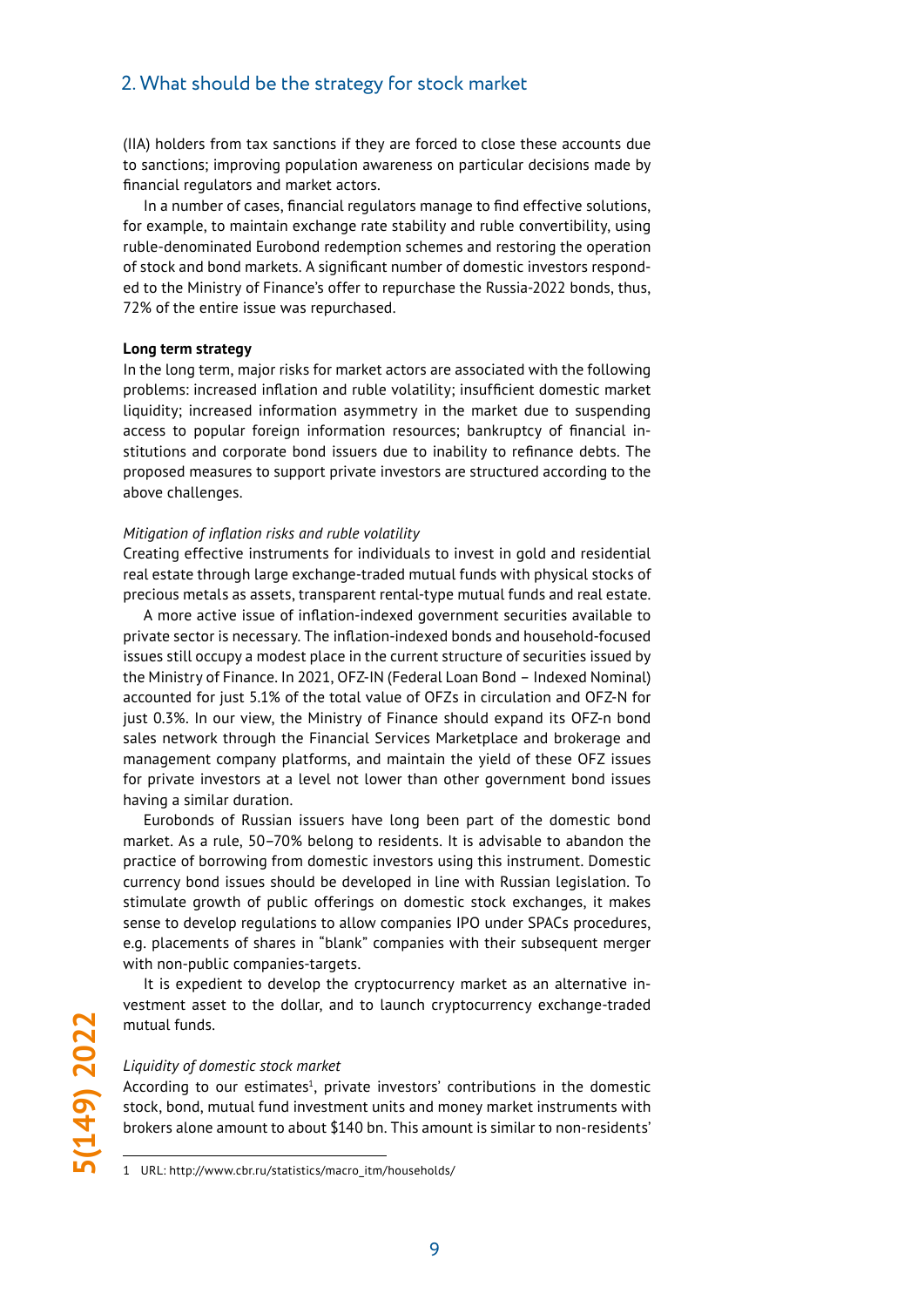#### 2. What should be the strategy for stock market

(IIA) holders from tax sanctions if they are forced to close these accounts due to sanctions; improving population awareness on particular decisions made by financial regulators and market actors.

In a number of cases, financial regulators manage to find effective solutions, for example, to maintain exchange rate stability and ruble convertibility, using ruble-denominated Eurobond redemption schemes and restoring the operation of stock and bond markets. A significant number of domestic investors responded to the Ministry of Finance's offer to repurchase the Russia-2022 bonds, thus, 72% of the entire issue was repurchased.

#### **Long term strategy**

In the long term, major risks for market actors are associated with the following problems: increased inflation and ruble volatility; insufficient domestic market liquidity; increased information asymmetry in the market due to suspending access to popular foreign information resources; bankruptcy of financial institutions and corporate bond issuers due to inability to refinance debts. The proposed measures to support private investors are structured according to the above challenges.

#### *Mitigation of inflation risks and ruble volatility*

Creating effective instruments for individuals to invest in gold and residential real estate through large exchange-traded mutual funds with physical stocks of precious metals as assets, transparent rental-type mutual funds and real estate.

A more active issue of inflation-indexed government securities available to private sector is necessary. The inflation-indexed bonds and household-focused issues still occupy a modest place in the current structure of securities issued by the Ministry of Finance. In 2021, OFZ-IN (Federal Loan Bond – Indexed Nominal) accounted for just 5.1% of the total value of OFZs in circulation and OFZ-N for just 0.3%. In our view, the Ministry of Finance should expand its OFZ-n bond sales network through the Financial Services Marketplace and brokerage and management company platforms, and maintain the yield of these OFZ issues for private investors at a level not lower than other government bond issues having a similar duration.

Eurobonds of Russian issuers have long been part of the domestic bond market. As a rule, 50–70% belong to residents. It is advisable to abandon the practice of borrowing from domestic investors using this instrument. Domestic currency bond issues should be developed in line with Russian legislation. To stimulate growth of public offerings on domestic stock exchanges, it makes sense to develop regulations to allow companies IPO under SPACs procedures, e.g. placements of shares in "blank" companies with their subsequent merger with non-public companies-targets.

It is expedient to develop the cryptocurrency market as an alternative investment asset to the dollar, and to launch cryptocurrency exchange-traded mutual funds.

#### *Liquidity of domestic stock market*

According to our estimates<sup>1</sup>, private investors' contributions in the domestic stock, bond, mutual fund investment units and money market instruments with brokers alone amount to about \$140 bn. This amount is similar to non-residents'

<sup>1</sup> URL: http://www.cbr.ru/statistics/macro\_itm/households/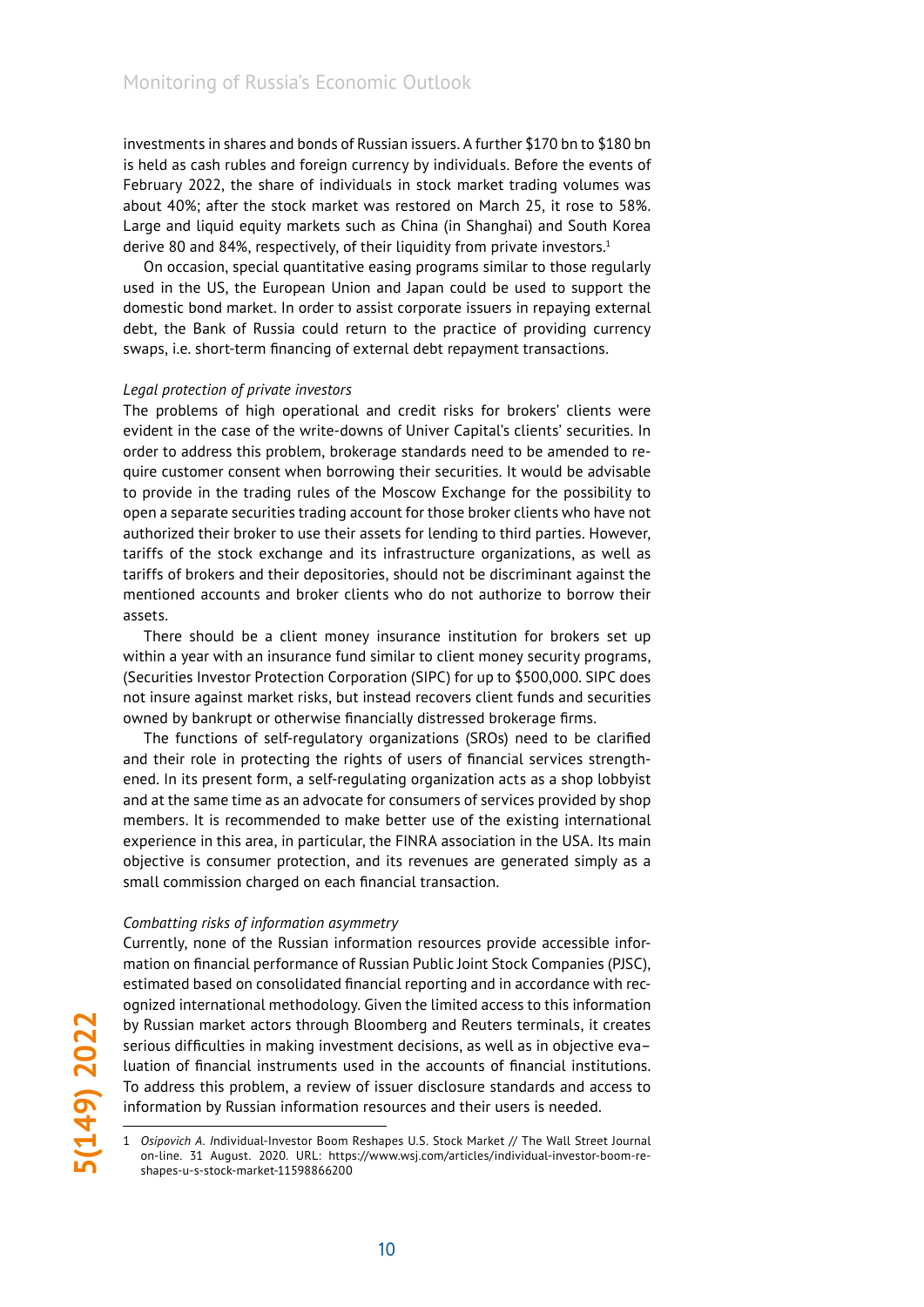investments in shares and bonds of Russian issuers. A further \$170 bn to \$180 bn is held as cash rubles and foreign currency by individuals. Before the events of February 2022, the share of individuals in stock market trading volumes was about 40%; after the stock market was restored on March 25, it rose to 58%. Large and liquid equity markets such as China (in Shanghai) and South Korea derive 80 and 84%, respectively, of their liquidity from private investors.<sup>1</sup>

On occasion, special quantitative easing programs similar to those regularly used in the US, the European Union and Japan could be used to support the domestic bond market. In order to assist corporate issuers in repaying external debt, the Bank of Russia could return to the practice of providing currency swaps, i.e. short-term financing of external debt repayment transactions.

#### *Legal protection of private investors*

The problems of high operational and credit risks for brokers' clients were evident in the case of the write-downs of Univer Capital's clients' securities. In order to address this problem, brokerage standards need to be amended to require customer consent when borrowing their securities. It would be advisable to provide in the trading rules of the Moscow Exchange for the possibility to open a separate securities trading account for those broker clients who have not authorized their broker to use their assets for lending to third parties. However, tariffs of the stock exchange and its infrastructure organizations, as well as tariffs of brokers and their depositories, should not be discriminant against the mentioned accounts and broker clients who do not authorize to borrow their assets.

There should be a client money insurance institution for brokers set up within a year with an insurance fund similar to client money security programs, (Securities Investor Protection Corporation (SIPC) for up to \$500,000. SIPC does not insure against market risks, but instead recovers client funds and securities owned by bankrupt or otherwise financially distressed brokerage firms.

The functions of self-regulatory organizations (SROs) need to be clarified and their role in protecting the rights of users of financial services strengthened. In its present form, a self-regulating organization acts as a shop lobbyist and at the same time as an advocate for consumers of services provided by shop members. It is recommended to make better use of the existing international experience in this area, in particular, the FINRA association in the USA. Its main objective is consumer protection, and its revenues are generated simply as a small commission charged on each financial transaction.

#### *Combatting risks of information asymmetry*

Currently, none of the Russian information resources provide accessible information on financial performance of Russian Public Joint Stock Companies (PJSC), estimated based on consolidated financial reporting and in accordance with recognized international methodology. Given the limited access to this information by Russian market actors through Bloomberg and Reuters terminals, it creates serious difficulties in making investment decisions, as well as in objective eva– luation of financial instruments used in the accounts of financial institutions. To address this problem, a review of issuer disclosure standards and access to information by Russian information resources and their users is needed.

<sup>1</sup> *Osipovich A. I*ndividual-Investor Boom Reshapes U.S. Stock Market // The Wall Street Journal on-line. 31 August. 2020. URL: https://www.wsj.com/articles/individual-investor-boom-reshapes-u-s-stock-market-11598866200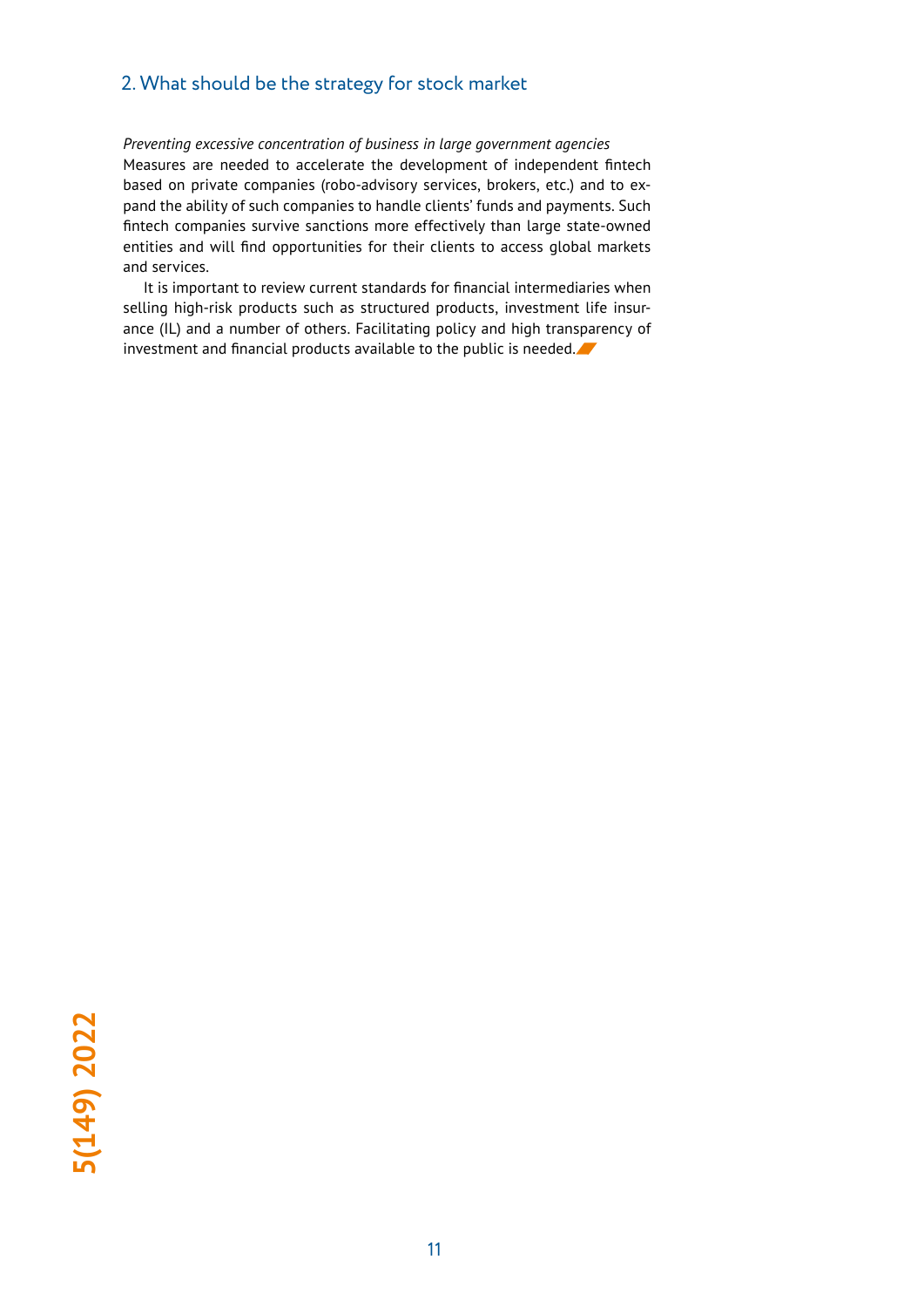## 2. What should be the strategy for stock market

*Preventing excessive concentration of business in large government agencies* Measures are needed to accelerate the development of independent fintech based on private companies (robo-advisory services, brokers, etc.) and to expand the ability of such companies to handle clients' funds and payments. Such fintech companies survive sanctions more effectively than large state-owned entities and will find opportunities for their clients to access global markets and services.

It is important to review current standards for financial intermediaries when selling high-risk products such as structured products, investment life insurance (IL) and a number of others. Facilitating policy and high transparency of investment and financial products available to the public is needed.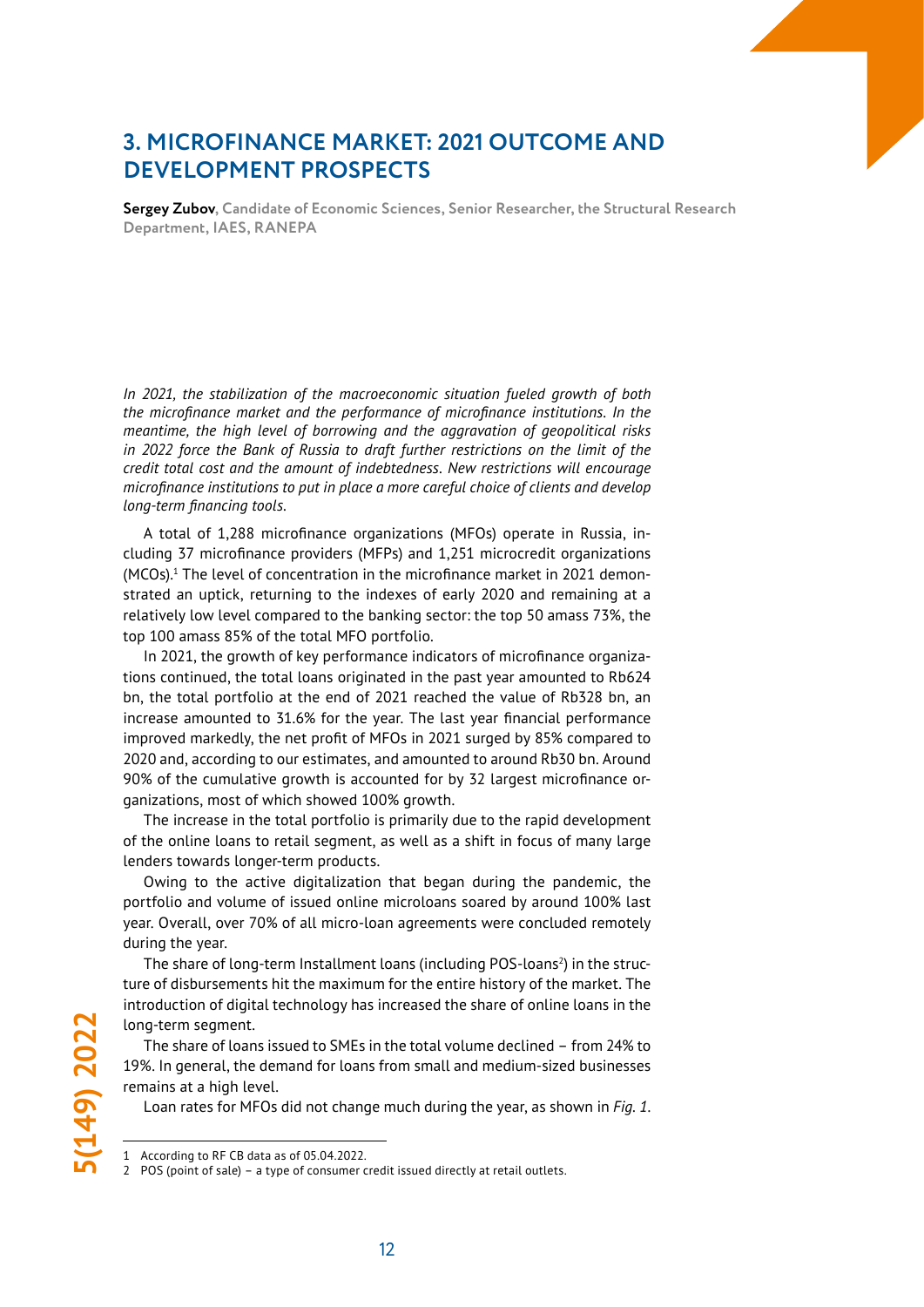## **3. MICROFINANCE MARKET: 2021 OUTCOME AND DEVELOPMENT PROSPECTS**

**Sergey Zubov, Candidate of Economic Sciences, Senior Researcher, the Structural Research Department, IAES, RANEPA**

*In 2021, the stabilization of the macroeconomic situation fueled growth of both the microfinance market and the performance of microfinance institutions. In the meantime, the high level of borrowing and the aggravation of geopolitical risks*  in 2022 force the Bank of Russia to draft further restrictions on the limit of the *credit total cost and the amount of indebtedness. New restrictions will encourage microfinance institutions to put in place a more careful choice of clients and develop long-term financing tools.*

A total of 1,288 microfinance organizations (MFOs) operate in Russia, including 37 microfinance providers (MFPs) and 1,251 microcredit organizations (MCOs).1 The level of concentration in the microfinance market in 2021 demonstrated an uptick, returning to the indexes of early 2020 and remaining at a relatively low level compared to the banking sector: the top 50 amass 73%, the top 100 amass 85% of the total MFO portfolio.

In 2021, the growth of key performance indicators of microfinance organizations continued, the total loans originated in the past year amounted to Rb624 bn, the total portfolio at the end of 2021 reached the value of Rb328 bn, an increase amounted to 31.6% for the year. The last year financial performance improved markedly, the net profit of MFOs in 2021 surged by 85% compared to 2020 and, according to our estimates, and amounted to around Rb30 bn. Around 90% of the cumulative growth is accounted for by 32 largest microfinance organizations, most of which showed 100% growth.

The increase in the total portfolio is primarily due to the rapid development of the online loans to retail segment, as well as a shift in focus of many large lenders towards longer-term products.

Owing to the active digitalization that began during the pandemic, the portfolio and volume of issued online microloans soared by around 100% last year. Overall, over 70% of all micro-loan agreements were concluded remotely during the year.

The share of long-term Installment loans (including POS-loans<sup>2</sup>) in the structure of disbursements hit the maximum for the entire history of the market. The introduction of digital technology has increased the share of online loans in the long-term segment.

The share of loans issued to SMEs in the total volume declined – from 24% to 19%. In general, the demand for loans from small and medium-sized businesses remains at a high level.

Loan rates for MFOs did not change much during the year, as shown in *Fig. 1*.

<sup>1</sup> According to RF CB data as of 05.04.2022.

<sup>2</sup> POS (point of sale) – a type of consumer credit issued directly at retail outlets.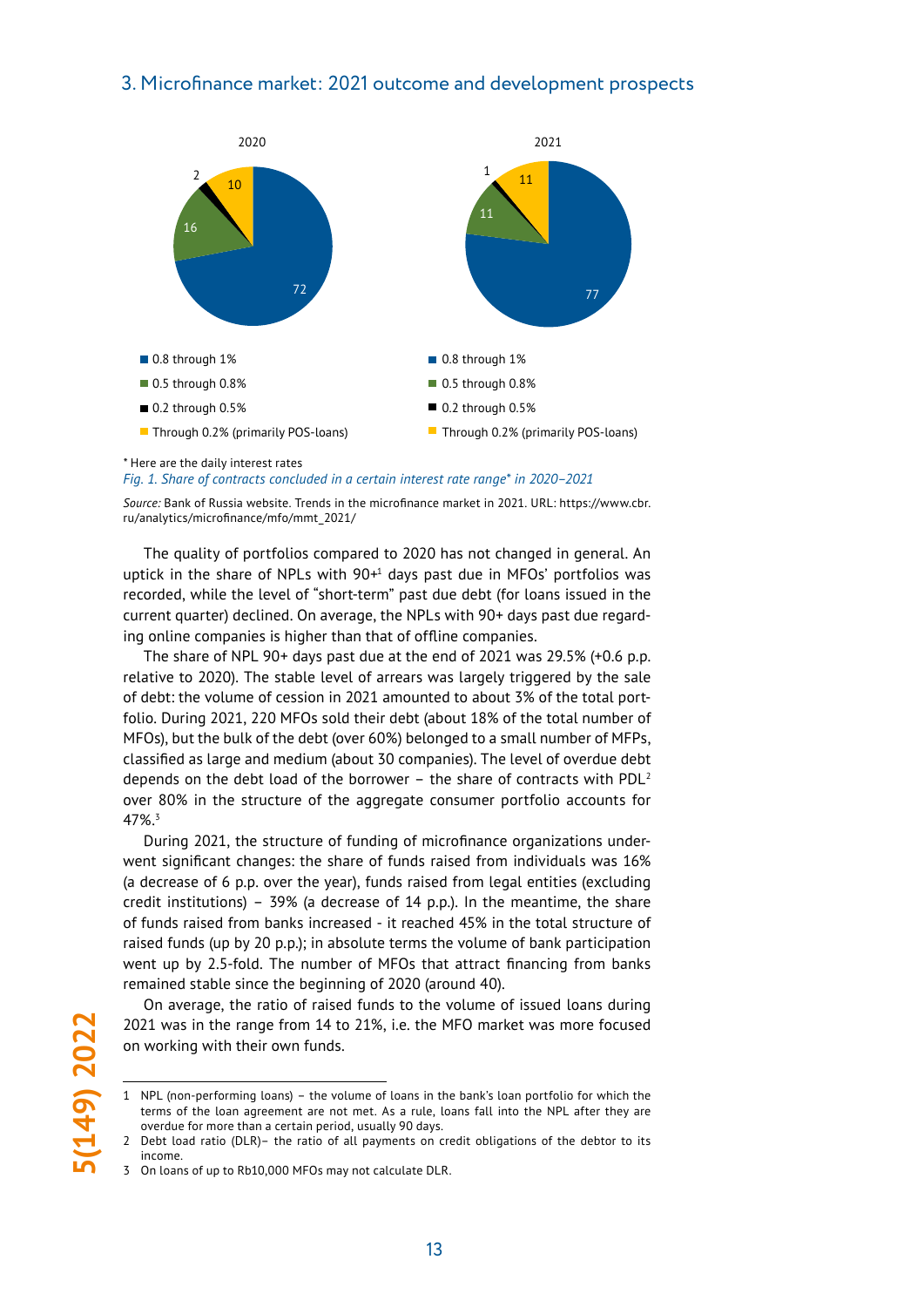## 3. Microfinance market: 2021 outcome and development prospects



#### *\** Here are the daily interest rates

*Fig. 1. Share of contracts concluded in a certain interest rate range\* in 2020–2021*

*Source:* Bank of Russia website. Trends in the microfinance market in 2021. URL: https://www.cbr. ru/analytics/microfinance/mfo/mmt\_2021/

The quality of portfolios compared to 2020 has not changed in general. An uptick in the share of NPLs with  $90+1$  days past due in MFOs' portfolios was recorded, while the level of "short-term" past due debt (for loans issued in the current quarter) declined. On average, the NPLs with 90+ days past due regarding online companies is higher than that of offline companies.

The share of NPL 90+ days past due at the end of 2021 was 29.5% (+0.6 p.p. relative to 2020). The stable level of arrears was largely triggered by the sale of debt: the volume of cession in 2021 amounted to about 3% of the total portfolio. During 2021, 220 MFOs sold their debt (about 18% of the total number of MFOs), but the bulk of the debt (over 60%) belonged to a small number of MFPs, classified as large and medium (about 30 companies). The level of overdue debt depends on the debt load of the borrower – the share of contracts with  $PDL<sup>2</sup>$ over 80% in the structure of the aggregate consumer portfolio accounts for 47%.3

During 2021, the structure of funding of microfinance organizations underwent significant changes: the share of funds raised from individuals was 16% (a decrease of 6 p.p. over the year), funds raised from legal entities (excluding credit institutions) – 39% (a decrease of 14 p.p.). In the meantime, the share of funds raised from banks increased - it reached 45% in the total structure of raised funds (up by 20 p.p.); in absolute terms the volume of bank participation went up by 2.5-fold. The number of MFOs that attract financing from banks remained stable since the beginning of 2020 (around 40).

On average, the ratio of raised funds to the volume of issued loans during 2021 was in the range from 14 to 21%, i.e. the MFO market was more focused on working with their own funds.

<sup>1</sup> NPL (non-performing loans) – the volume of loans in the bank's loan portfolio for which the terms of the loan agreement are not met. As a rule, loans fall into the NPL after they are overdue for more than a certain period, usually 90 days.

<sup>2</sup> Debt load ratio (DLR)– the ratio of all payments on credit obligations of the debtor to its income.

<sup>3</sup> On loans of up to Rb10,000 MFOs may not calculate DLR.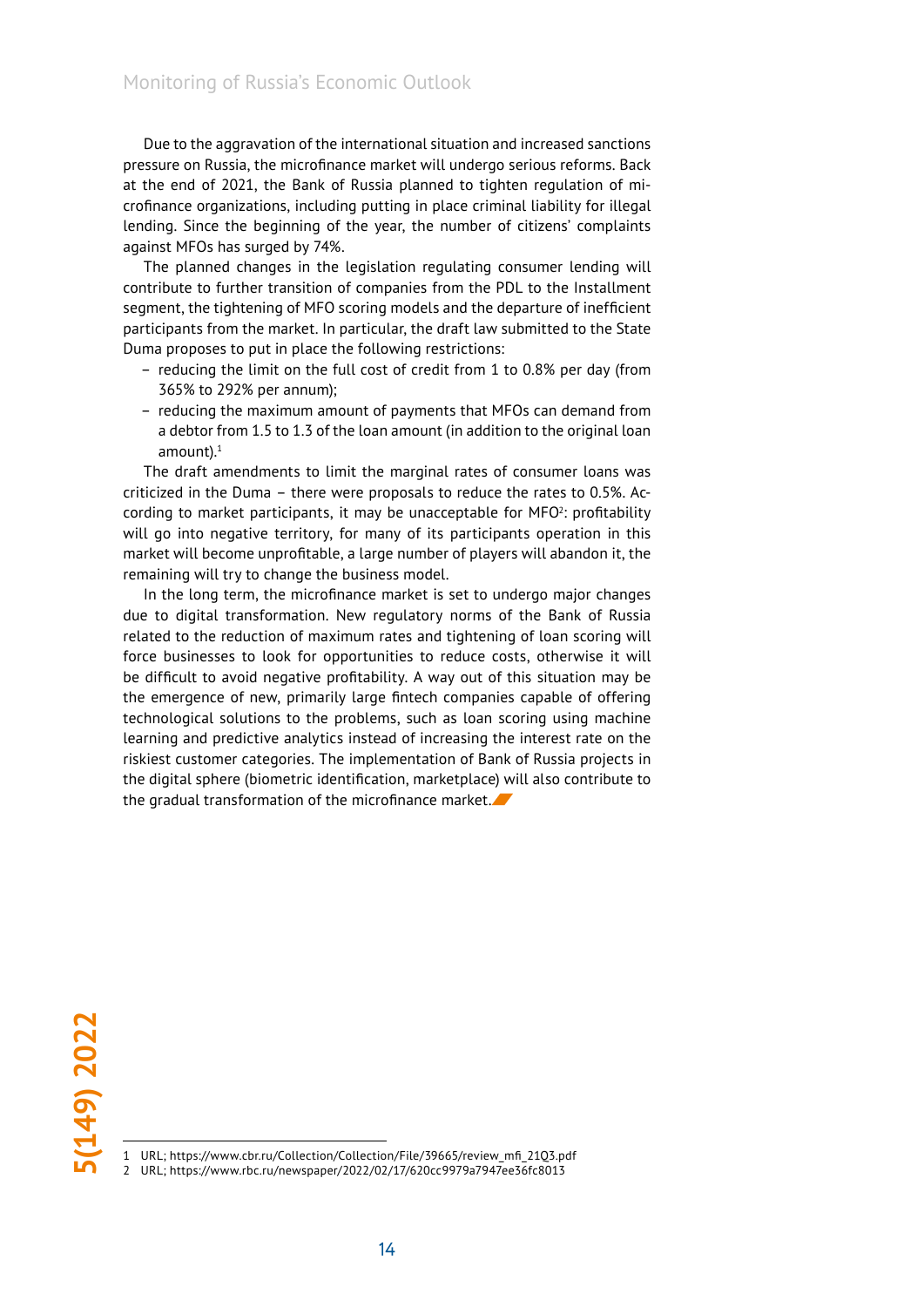Due to the aggravation of the international situation and increased sanctions pressure on Russia, the microfinance market will undergo serious reforms. Back at the end of 2021, the Bank of Russia planned to tighten regulation of microfinance organizations, including putting in place criminal liability for illegal lending. Since the beginning of the year, the number of citizens' complaints against MFOs has surged by 74%.

The planned changes in the legislation regulating consumer lending will contribute to further transition of companies from the PDL to the Installment segment, the tightening of MFO scoring models and the departure of inefficient participants from the market. In particular, the draft law submitted to the State Duma proposes to put in place the following restrictions:

- reducing the limit on the full cost of credit from 1 to 0.8% per day (from 365% to 292% per annum);
- reducing the maximum amount of payments that MFOs can demand from a debtor from 1.5 to 1.3 of the loan amount (in addition to the original loan amount $\mathcal{L}^1$

The draft amendments to limit the marginal rates of consumer loans was criticized in the Duma – there were proposals to reduce the rates to 0.5%. According to market participants, it may be unacceptable for  $MFO<sup>2</sup>$ : profitability will go into negative territory, for many of its participants operation in this market will become unprofitable, a large number of players will abandon it, the remaining will try to change the business model.

In the long term, the microfinance market is set to undergo major changes due to digital transformation. New regulatory norms of the Bank of Russia related to the reduction of maximum rates and tightening of loan scoring will force businesses to look for opportunities to reduce costs, otherwise it will be difficult to avoid negative profitability. A way out of this situation may be the emergence of new, primarily large fintech companies capable of offering technological solutions to the problems, such as loan scoring using machine learning and predictive analytics instead of increasing the interest rate on the riskiest customer categories. The implementation of Bank of Russia projects in the digital sphere (biometric identification, marketplace) will also contribute to the gradual transformation of the microfinance market.

<sup>1</sup> URL; https://www.cbr.ru/Collection/Collection/File/39665/review\_mfi\_21Q3.pdf

<sup>2</sup> URL; https://www.rbc.ru/newspaper/2022/02/17/620cc9979a7947ee36fc8013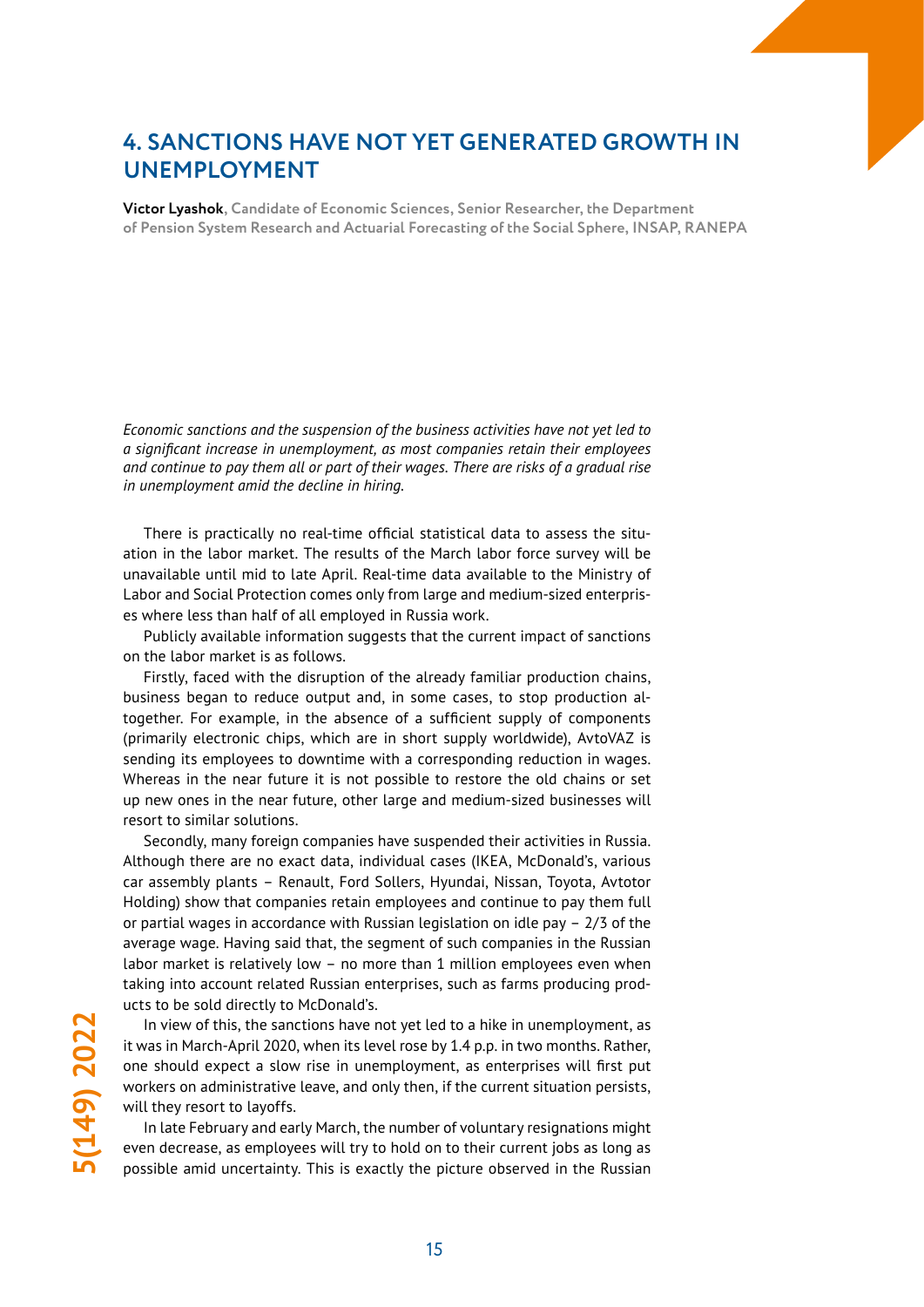## **4. SANCTIONS HAVE NOT YET GENERATED GROWTH IN UNEMPLOYMENT**

**Victor Lyashok, Candidate of Economic Sciences, Senior Researcher, the Department of Pension System Research and Actuarial Forecasting of the Social Sphere, INSAP, RANEPA**

*Economic sanctions and the suspension of the business activities have not yet led to a significant increase in unemployment, as most companies retain their employees and continue to pay them all or part of their wages. There are risks of a gradual rise in unemployment amid the decline in hiring.*

There is practically no real-time official statistical data to assess the situation in the labor market. The results of the March labor force survey will be unavailable until mid to late April. Real-time data available to the Ministry of Labor and Social Protection comes only from large and medium-sized enterprises where less than half of all employed in Russia work.

Publicly available information suggests that the current impact of sanctions on the labor market is as follows.

Firstly, faced with the disruption of the already familiar production chains, business began to reduce output and, in some cases, to stop production altogether. For example, in the absence of a sufficient supply of components (primarily electronic chips, which are in short supply worldwide), AvtoVAZ is sending its employees to downtime with a corresponding reduction in wages. Whereas in the near future it is not possible to restore the old chains or set up new ones in the near future, other large and medium-sized businesses will resort to similar solutions.

Secondly, many foreign companies have suspended their activities in Russia. Although there are no exact data, individual cases (IKEA, McDonald's, various car assembly plants – Renault, Ford Sollers, Hyundai, Nissan, Toyota, Avtotor Holding) show that companies retain employees and continue to pay them full or partial wages in accordance with Russian legislation on idle pay – 2/3 of the average wage. Having said that, the segment of such companies in the Russian labor market is relatively low – no more than 1 million employees even when taking into account related Russian enterprises, such as farms producing products to be sold directly to McDonald's.

In view of this, the sanctions have not yet led to a hike in unemployment, as it was in March-April 2020, when its level rose by 1.4 p.p. in two months. Rather, one should expect a slow rise in unemployment, as enterprises will first put workers on administrative leave, and only then, if the current situation persists, will they resort to layoffs.

In late February and early March, the number of voluntary resignations might even decrease, as employees will try to hold on to their current jobs as long as possible amid uncertainty. This is exactly the picture observed in the Russian

5(149) 2022 **5(149) 2022**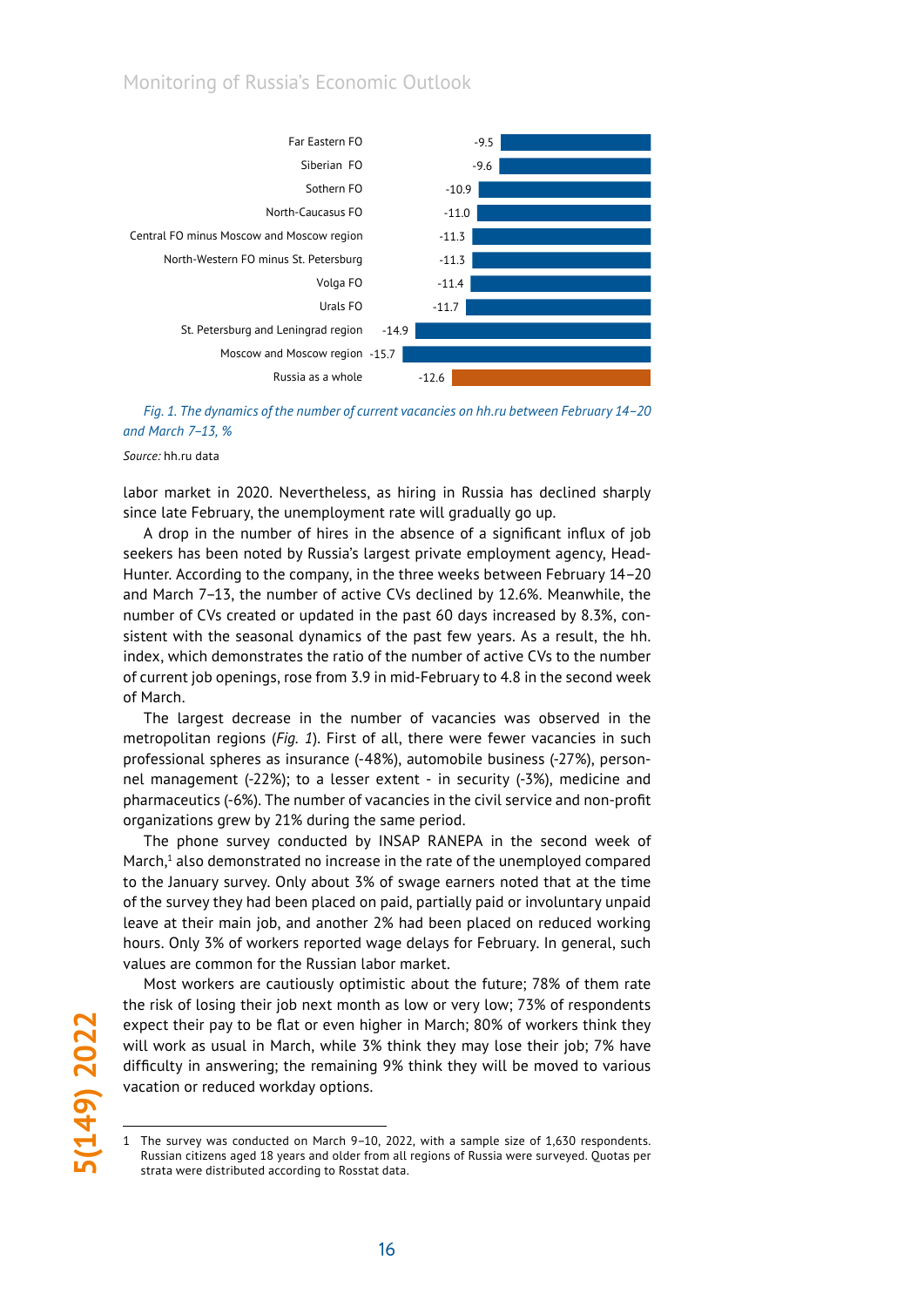## Monitoring of Russia's Economic Outlook



*Fig. 1. The dynamics of the number of current vacancies on hh.ru between February 14–20 and March 7–13, %* 

*Source:* hh.ru data

labor market in 2020. Nevertheless, as hiring in Russia has declined sharply since late February, the unemployment rate will gradually go up.

A drop in the number of hires in the absence of a significant influx of job seekers has been noted by Russia's largest private employment agency, Head-Hunter. According to the company, in the three weeks between February 14–20 and March 7–13, the number of active CVs declined by 12.6%. Meanwhile, the number of CVs created or updated in the past 60 days increased by 8.3%, consistent with the seasonal dynamics of the past few years. As a result, the hh. index, which demonstrates the ratio of the number of active CVs to the number of current job openings, rose from 3.9 in mid-February to 4.8 in the second week of March.

The largest decrease in the number of vacancies was observed in the metropolitan regions (*Fig. 1*). First of all, there were fewer vacancies in such professional spheres as insurance (-48%), automobile business (-27%), personnel management (-22%); to a lesser extent - in security (-3%), medicine and pharmaceutics (-6%). The number of vacancies in the civil service and non-profit organizations grew by 21% during the same period.

The phone survey conducted by INSAP RANEPA in the second week of March,<sup>1</sup> also demonstrated no increase in the rate of the unemployed compared to the January survey. Only about 3% of swage earners noted that at the time of the survey they had been placed on paid, partially paid or involuntary unpaid leave at their main job, and another 2% had been placed on reduced working hours. Only 3% of workers reported wage delays for February. In general, such values are common for the Russian labor market.

Most workers are cautiously optimistic about the future; 78% of them rate the risk of losing their job next month as low or very low; 73% of respondents expect their pay to be flat or even higher in March; 80% of workers think they will work as usual in March, while 3% think they may lose their job; 7% have difficulty in answering; the remaining 9% think they will be moved to various vacation or reduced workday options.

<sup>5(149) 2022</sup> **5(149) 2022**

<sup>1</sup> The survey was conducted on March 9–10, 2022, with a sample size of 1,630 respondents. Russian citizens aged 18 years and older from all regions of Russia were surveyed. Quotas per strata were distributed according to Rosstat data.